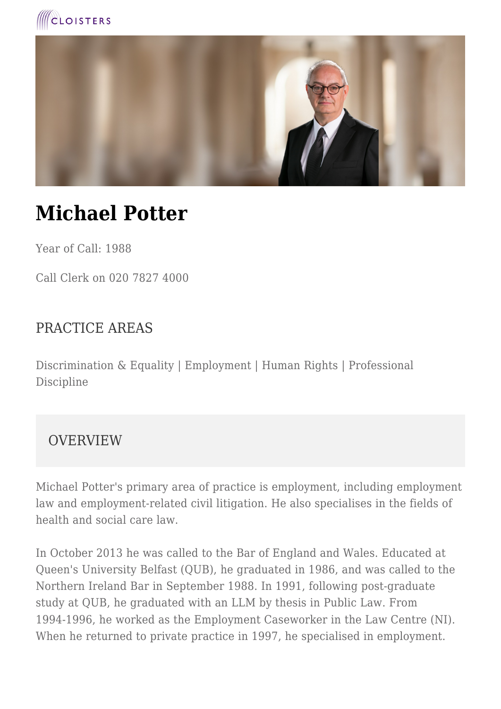



# **Michael Potter**

Year of Call: 1988

Call Clerk on 020 7827 4000

#### PRACTICE AREAS

Discrimination & Equality | Employment | Human Rights | Professional Discipline

#### OVERVIEW

Michael Potter's primary area of practice is employment, including employment law and employment-related civil litigation. He also specialises in the fields of health and social care law.

In October 2013 he was called to the Bar of England and Wales. Educated at Queen's University Belfast (QUB), he graduated in 1986, and was called to the Northern Ireland Bar in September 1988. In 1991, following post-graduate study at QUB, he graduated with an LLM by thesis in Public Law. From 1994-1996, he worked as the Employment Caseworker in the Law Centre (NI). When he returned to private practice in 1997, he specialised in employment.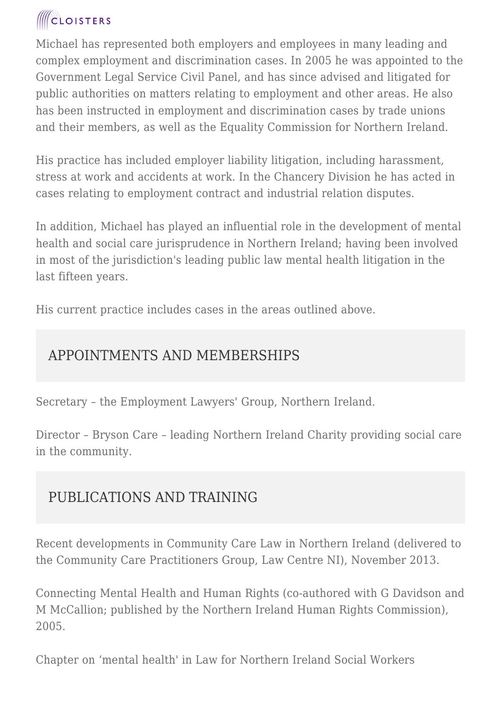## **CLOISTERS**

Michael has represented both employers and employees in many leading and complex employment and discrimination cases. In 2005 he was appointed to the Government Legal Service Civil Panel, and has since advised and litigated for public authorities on matters relating to employment and other areas. He also has been instructed in employment and discrimination cases by trade unions and their members, as well as the Equality Commission for Northern Ireland.

His practice has included employer liability litigation, including harassment, stress at work and accidents at work. In the Chancery Division he has acted in cases relating to employment contract and industrial relation disputes.

In addition, Michael has played an influential role in the development of mental health and social care jurisprudence in Northern Ireland; having been involved in most of the jurisdiction's leading public law mental health litigation in the last fifteen years.

His current practice includes cases in the areas outlined above.

### APPOINTMENTS AND MEMBERSHIPS

Secretary – the Employment Lawyers' Group, Northern Ireland.

Director – Bryson Care – leading Northern Ireland Charity providing social care in the community.

### PUBLICATIONS AND TRAINING

Recent developments in Community Care Law in Northern Ireland (delivered to the Community Care Practitioners Group, Law Centre NI), November 2013.

Connecting Mental Health and Human Rights (co-authored with G Davidson and M McCallion; published by the Northern Ireland Human Rights Commission), 2005.

Chapter on 'mental health' in Law for Northern Ireland Social Workers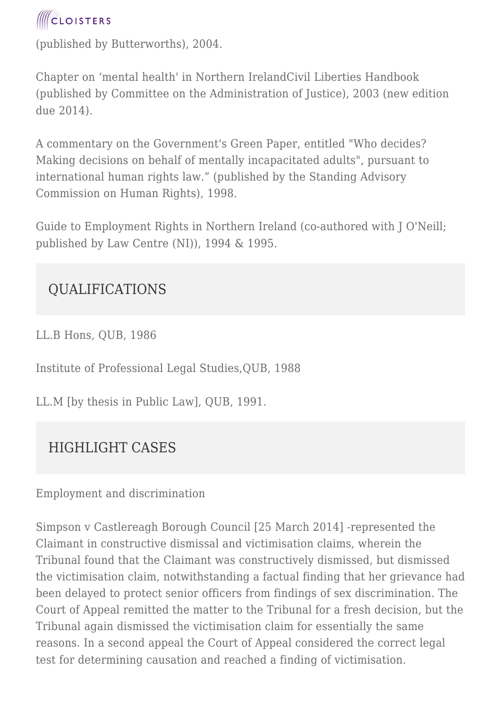

(published by Butterworths), 2004.

Chapter on 'mental health' in Northern IrelandCivil Liberties Handbook (published by Committee on the Administration of Justice), 2003 (new edition due 2014).

A commentary on the Government's Green Paper, entitled "Who decides? Making decisions on behalf of mentally incapacitated adults", pursuant to international human rights law." (published by the Standing Advisory Commission on Human Rights), 1998.

Guide to Employment Rights in Northern Ireland (co-authored with J O'Neill; published by Law Centre (NI)), 1994 & 1995.

#### QUALIFICATIONS

LL.B Hons, QUB, 1986

Institute of Professional Legal Studies,QUB, 1988

LL.M [by thesis in Public Law], QUB, 1991.

#### HIGHLIGHT CASES

#### Employment and discrimination

Simpson v Castlereagh Borough Council [25 March 2014] -represented the Claimant in constructive dismissal and victimisation claims, wherein the Tribunal found that the Claimant was constructively dismissed, but dismissed the victimisation claim, notwithstanding a factual finding that her grievance had been delayed to protect senior officers from findings of sex discrimination. The Court of Appeal remitted the matter to the Tribunal for a fresh decision, but the Tribunal again dismissed the victimisation claim for essentially the same reasons. In a second appeal the Court of Appeal considered the correct legal test for determining causation and reached a finding of victimisation.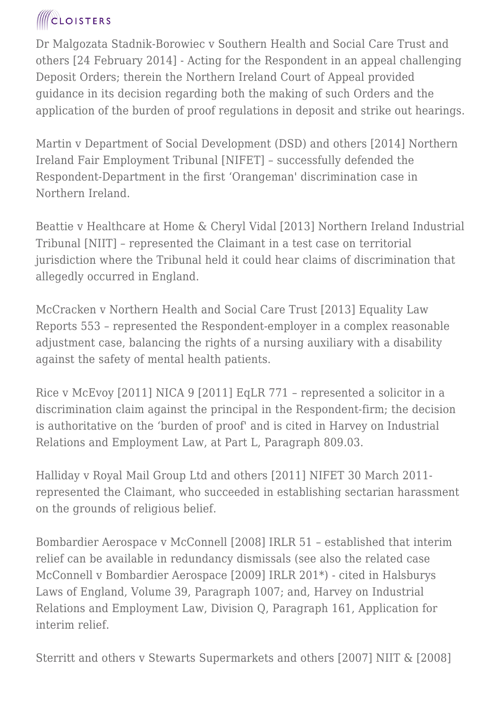### **ICLOISTERS**

Dr Malgozata Stadnik-Borowiec v Southern Health and Social Care Trust and others [24 February 2014] - Acting for the Respondent in an appeal challenging Deposit Orders; therein the Northern Ireland Court of Appeal provided guidance in its decision regarding both the making of such Orders and the application of the burden of proof regulations in deposit and strike out hearings.

Martin v Department of Social Development (DSD) and others [2014] Northern Ireland Fair Employment Tribunal [NIFET] – successfully defended the Respondent-Department in the first 'Orangeman' discrimination case in Northern Ireland.

Beattie v Healthcare at Home & Cheryl Vidal [2013] Northern Ireland Industrial Tribunal [NIIT] – represented the Claimant in a test case on territorial jurisdiction where the Tribunal held it could hear claims of discrimination that allegedly occurred in England.

McCracken v Northern Health and Social Care Trust [2013] Equality Law Reports 553 – represented the Respondent-employer in a complex reasonable adjustment case, balancing the rights of a nursing auxiliary with a disability against the safety of mental health patients.

Rice v McEvoy [2011] NICA 9 [2011] EqLR 771 – represented a solicitor in a discrimination claim against the principal in the Respondent-firm; the decision is authoritative on the 'burden of proof' and is cited in Harvey on Industrial Relations and Employment Law, at Part L, Paragraph 809.03.

Halliday v Royal Mail Group Ltd and others [2011] NIFET 30 March 2011 represented the Claimant, who succeeded in establishing sectarian harassment on the grounds of religious belief.

Bombardier Aerospace v McConnell [2008] IRLR 51 – established that interim relief can be available in redundancy dismissals (see also the related case McConnell v Bombardier Aerospace [2009] IRLR 201\*) - cited in Halsburys Laws of England, Volume 39, Paragraph 1007; and, Harvey on Industrial Relations and Employment Law, Division Q, Paragraph 161, Application for interim relief.

Sterritt and others v Stewarts Supermarkets and others [2007] NIIT & [2008]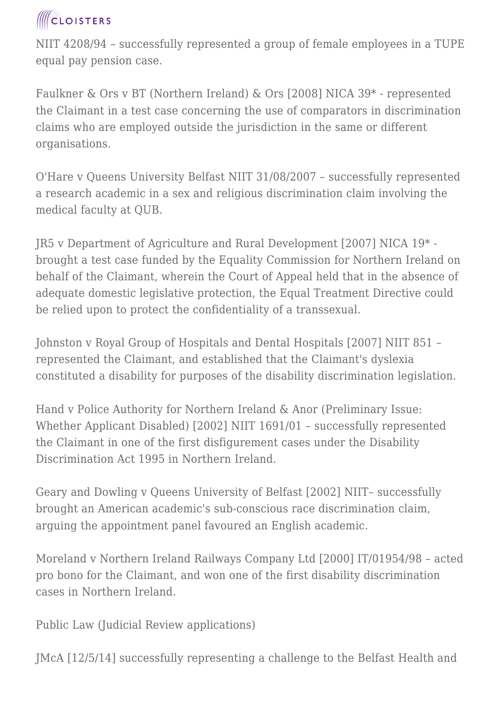

NIIT 4208/94 – successfully represented a group of female employees in a TUPE equal pay pension case.

Faulkner & Ors v BT (Northern Ireland) & Ors [2008] NICA 39\* - represented the Claimant in a test case concerning the use of comparators in discrimination claims who are employed outside the jurisdiction in the same or different organisations.

O'Hare v Queens University Belfast NIIT 31/08/2007 – successfully represented a research academic in a sex and religious discrimination claim involving the medical faculty at QUB.

JR5 v Department of Agriculture and Rural Development [2007] NICA 19\* brought a test case funded by the Equality Commission for Northern Ireland on behalf of the Claimant, wherein the Court of Appeal held that in the absence of adequate domestic legislative protection, the Equal Treatment Directive could be relied upon to protect the confidentiality of a transsexual.

Johnston v Royal Group of Hospitals and Dental Hospitals [2007] NIIT 851 – represented the Claimant, and established that the Claimant's dyslexia constituted a disability for purposes of the disability discrimination legislation.

Hand v Police Authority for Northern Ireland & Anor (Preliminary Issue: Whether Applicant Disabled) [2002] NIIT 1691/01 – successfully represented the Claimant in one of the first disfigurement cases under the Disability Discrimination Act 1995 in Northern Ireland.

Geary and Dowling v Queens University of Belfast [2002] NIIT– successfully brought an American academic's sub-conscious race discrimination claim, arguing the appointment panel favoured an English academic.

Moreland v Northern Ireland Railways Company Ltd [2000] IT/01954/98 – acted pro bono for the Claimant, and won one of the first disability discrimination cases in Northern Ireland.

Public Law (Judicial Review applications)

JMcA [12/5/14] successfully representing a challenge to the Belfast Health and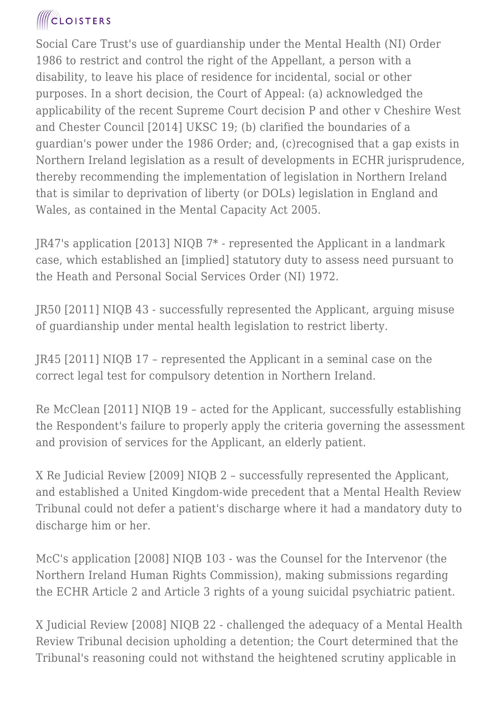## **ICLOISTERS**

Social Care Trust's use of guardianship under the Mental Health (NI) Order 1986 to restrict and control the right of the Appellant, a person with a disability, to leave his place of residence for incidental, social or other purposes. In a short decision, the Court of Appeal: (a) acknowledged the applicability of the recent Supreme Court decision P and other v Cheshire West and Chester Council [2014] UKSC 19; (b) clarified the boundaries of a guardian's power under the 1986 Order; and, (c)recognised that a gap exists in Northern Ireland legislation as a result of developments in ECHR jurisprudence, thereby recommending the implementation of legislation in Northern Ireland that is similar to deprivation of liberty (or DOLs) legislation in England and Wales, as contained in the Mental Capacity Act 2005.

JR47's application [2013] NIQB 7\* - represented the Applicant in a landmark case, which established an [implied] statutory duty to assess need pursuant to the Heath and Personal Social Services Order (NI) 1972.

JR50 [2011] NIQB 43 - successfully represented the Applicant, arguing misuse of guardianship under mental health legislation to restrict liberty.

JR45 [2011] NIQB 17 – represented the Applicant in a seminal case on the correct legal test for compulsory detention in Northern Ireland.

Re McClean [2011] NIQB 19 – acted for the Applicant, successfully establishing the Respondent's failure to properly apply the criteria governing the assessment and provision of services for the Applicant, an elderly patient.

X Re Judicial Review [2009] NIQB 2 – successfully represented the Applicant, and established a United Kingdom-wide precedent that a Mental Health Review Tribunal could not defer a patient's discharge where it had a mandatory duty to discharge him or her.

McC's application [2008] NIQB 103 - was the Counsel for the Intervenor (the Northern Ireland Human Rights Commission), making submissions regarding the ECHR Article 2 and Article 3 rights of a young suicidal psychiatric patient.

X Judicial Review [2008] NIQB 22 - challenged the adequacy of a Mental Health Review Tribunal decision upholding a detention; the Court determined that the Tribunal's reasoning could not withstand the heightened scrutiny applicable in